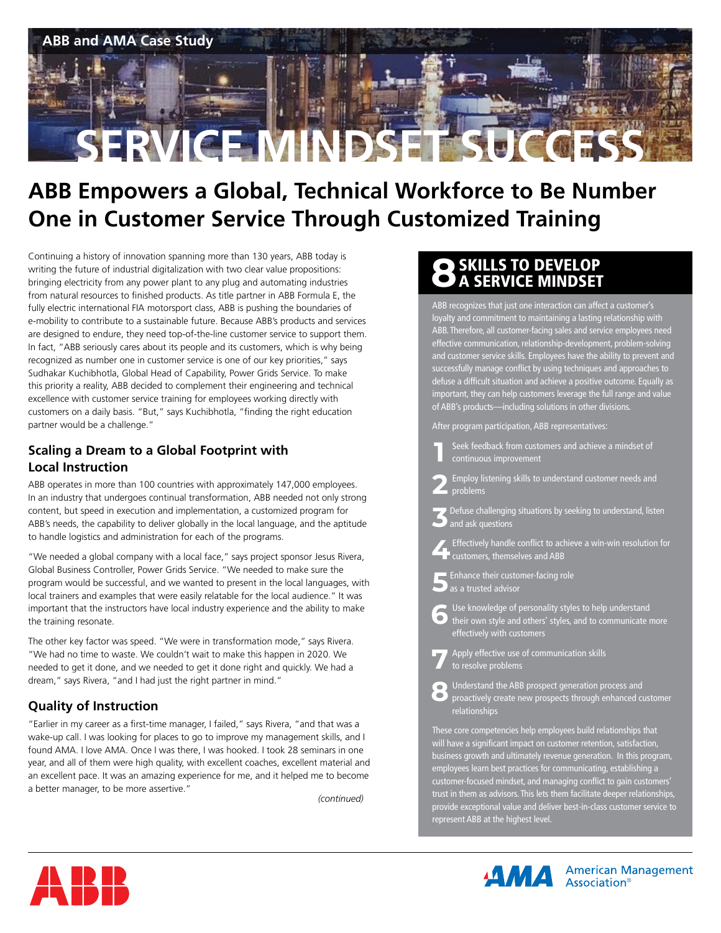

## **ABB Empowers a Global, Technical Workforce to Be Number One in Customer Service Through Customized Training**

Continuing a history of innovation spanning more than 130 years, ABB today is writing the future of industrial digitalization with two clear value propositions: bringing electricity from any power plant to any plug and automating industries from natural resources to finished products. As title partner in ABB Formula E, the fully electric international FIA motorsport class, ABB is pushing the boundaries of e-mobility to contribute to a sustainable future. Because ABB's products and services are designed to endure, they need top-of-the-line customer service to support them. In fact, "ABB seriously cares about its people and its customers, which is why being recognized as number one in customer service is one of our key priorities," says Sudhakar Kuchibhotla, Global Head of Capability, Power Grids Service. To make this priority a reality, ABB decided to complement their engineering and technical excellence with customer service training for employees working directly with customers on a daily basis. "But," says Kuchibhotla, "finding the right education partner would be a challenge."

#### **Scaling a Dream to a Global Footprint with Local Instruction**

ABB operates in more than 100 countries with approximately 147,000 employees. In an industry that undergoes continual transformation, ABB needed not only strong content, but speed in execution and implementation, a customized program for ABB's needs, the capability to deliver globally in the local language, and the aptitude to handle logistics and administration for each of the programs.

"We needed a global company with a local face," says project sponsor Jesus Rivera, Global Business Controller, Power Grids Service. "We needed to make sure the program would be successful, and we wanted to present in the local languages, with local trainers and examples that were easily relatable for the local audience." It was important that the instructors have local industry experience and the ability to make the training resonate.

The other key factor was speed. "We were in transformation mode," says Rivera. "We had no time to waste. We couldn't wait to make this happen in 2020. We needed to get it done, and we needed to get it done right and quickly. We had a dream," says Rivera, "and I had just the right partner in mind."

#### **Quality of Instruction**

"Earlier in my career as a first-time manager, I failed," says Rivera, "and that was a wake-up call. I was looking for places to go to improve my management skills, and I found AMA. I love AMA. Once I was there, I was hooked. I took 28 seminars in one year, and all of them were high quality, with excellent coaches, excellent material and an excellent pace. It was an amazing experience for me, and it helped me to become a better manager, to be more assertive."

*(continued)*

# **8**SKILLS TO DEVELOP<br>B A SERVICE MINDSET

ABB recognizes that just one interaction can affect a customer's loyalty and commitment to maintaining a lasting relationship with ABB. Therefore, all customer-facing sales and service employees need effective communication, relationship-development, problem-solving and customer service skills. Employees have the ability to prevent and successfully manage conflict by using techniques and approaches to defuse a difficult situation and achieve a positive outcome. Equally as important, they can help customers leverage the full range and value of ABB's products—including solutions in other divisions.

After program participation, ABB representatives:

- **1** Seek feedback from customers and achieve a mindset of continuous improvement
- **2** Employ listening skills to understand customer needs and problems
- **3**Defuse challenging situations by seeking to understand, listen and ask questions
- **4** Effectively handle conflict to achieve a win-win resolution for <sup>I</sup> customers, themselves and ABB
- **5**Enhance their customer-facing role as a trusted advisor
- **6** Use knowledge of personality styles to help understand their own style and others' styles, and to communicate more effectively with customers
- **7** Apply effective use of communication skills to resolve problems
- **8** Understand the ABB prospect generation process and proactively create new prospects through enhanced customer relationships

These core competencies help employees build relationships that will have a significant impact on customer retention, satisfaction, business growth and ultimately revenue generation. In this program, employees learn best practices for communicating, establishing a customer-focused mindset, and managing conflict to gain customers' trust in them as advisors. This lets them facilitate deeper relationships, provide exceptional value and deliver best-in-class customer service to represent ABB at the highest level.